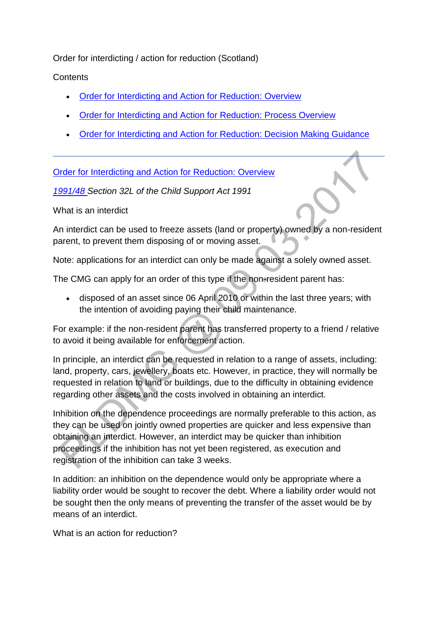Order for interdicting / action for reduction (Scotland)

**Contents** 

- [Order for Interdicting and Action for Reduction: Overview](http://np-cmg-sharepoint.link2.gpn.gov.uk/sites/policy-law-and-decision-making-guidance/Pages/Legal%20Enforcement%20-%20Scotland/Order-for-Interdicting--Action-for-Reduction-(Scotland).aspx#1)
- [Order for Interdicting and Action for Reduction: Process Overview](http://np-cmg-sharepoint.link2.gpn.gov.uk/sites/policy-law-and-decision-making-guidance/Pages/Legal%20Enforcement%20-%20Scotland/Order-for-Interdicting--Action-for-Reduction-(Scotland).aspx#2)
- [Order for Interdicting and Action for Reduction: Decision Making Guidance](http://np-cmg-sharepoint.link2.gpn.gov.uk/sites/policy-law-and-decision-making-guidance/Pages/Legal%20Enforcement%20-%20Scotland/Order-for-Interdicting--Action-for-Reduction-(Scotland).aspx#3)

[Order for Interdicting and Action for Reduction: Overview](http://np-cmg-sharepoint.link2.gpn.gov.uk/sites/policy-law-and-decision-making-guidance/Pages/Legal%20Enforcement%20-%20Scotland/Order-for-Interdicting--Action-for-Reduction-%28Scotland%29.aspx)

*[1991/48 S](http://www.legislation.gov.uk/ukpga/1991/48)ection 32L of the Child Support Act 1991*

What is an interdict

An interdict can be used to freeze assets (land or property) owned by a non-resident parent, to prevent them disposing of or moving asset.

Note: applications for an interdict can only be made against a solely owned asset.

The CMG can apply for an order of this type if the non-resident parent has:

 disposed of an asset since 06 April 2010 or within the last three years; with the intention of avoiding paying their child maintenance.

For example: if the non-resident parent has transferred property to a friend / relative to avoid it being available for enforcement action.

In principle, an interdict can be requested in relation to a range of assets, including: land, property, cars, jewellery, boats etc. However, in practice, they will normally be requested in relation to land or buildings, due to the difficulty in obtaining evidence regarding other assets and the costs involved in obtaining an interdict.

Inhibition on the dependence proceedings are normally preferable to this action, as they can be used on jointly owned properties are quicker and less expensive than obtaining an interdict. However, an interdict may be quicker than inhibition proceedings if the inhibition has not yet been registered, as execution and registration of the inhibition can take 3 weeks.

In addition: an inhibition on the dependence would only be appropriate where a liability order would be sought to recover the debt. Where a liability order would not be sought then the only means of preventing the transfer of the asset would be by means of an interdict.

What is an action for reduction?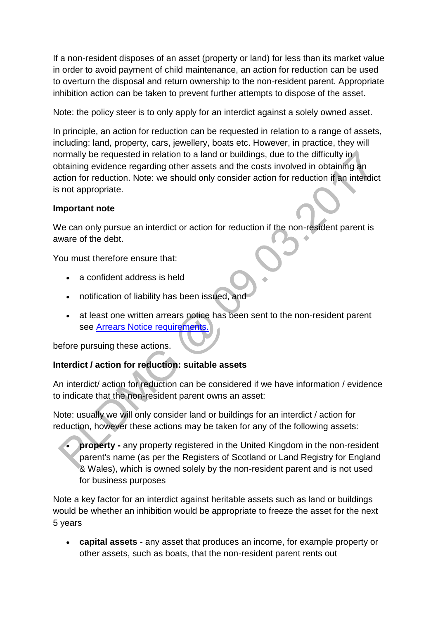If a non-resident disposes of an asset (property or land) for less than its market value in order to avoid payment of child maintenance, an action for reduction can be used to overturn the disposal and return ownership to the non-resident parent. Appropriate inhibition action can be taken to prevent further attempts to dispose of the asset.

Note: the policy steer is to only apply for an interdict against a solely owned asset.

In principle, an action for reduction can be requested in relation to a range of assets, including: land, property, cars, jewellery, boats etc. However, in practice, they will normally be requested in relation to a land or buildings, due to the difficulty in obtaining evidence regarding other assets and the costs involved in obtaining an action for reduction. Note: we should only consider action for reduction if an interdict is not appropriate.

### **Important note**

We can only pursue an interdict or action for reduction if the non-resident parent is aware of the debt.

You must therefore ensure that:

- a confident address is held
- notification of liability has been issued, and
- at least one written arrears notice has been sent to the non-resident parent see [Arrears Notice requirements.](http://np-cmg-sharepoint.link2.gpn.gov.uk/sites/policy-law-and-decision-making-guidance/Pages/Arrears/Arrears-Method-of-Collection-Overview.aspx)

before pursuing these actions.

#### **Interdict / action for reduction: suitable assets**

An interdict/ action for reduction can be considered if we have information / evidence to indicate that the non-resident parent owns an asset:

Note: usually we will only consider land or buildings for an interdict / action for reduction, however these actions may be taken for any of the following assets:

 **property -** any property registered in the United Kingdom in the non-resident parent's name (as per the Registers of Scotland or Land Registry for England & Wales), which is owned solely by the non-resident parent and is not used for business purposes

Note a key factor for an interdict against heritable assets such as land or buildings would be whether an inhibition would be appropriate to freeze the asset for the next 5 years

 **capital assets** - any asset that produces an income, for example property or other assets, such as boats, that the non-resident parent rents out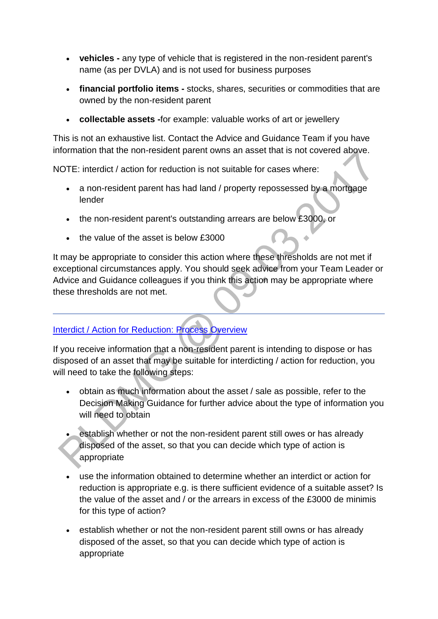- **vehicles -** any type of vehicle that is registered in the non-resident parent's name (as per DVLA) and is not used for business purposes
- **financial portfolio items -** stocks, shares, securities or commodities that are owned by the non-resident parent
- **collectable assets -**for example: valuable works of art or jewellery

This is not an exhaustive list. Contact the Advice and Guidance Team if you have information that the non-resident parent owns an asset that is not covered above.

NOTE: interdict / action for reduction is not suitable for cases where:

- a non-resident parent has had land / property repossessed by a mortgage lender
- the non-resident parent's outstanding arrears are below £3000, or
- $\bullet$  the value of the asset is below £3000

It may be appropriate to consider this action where these thresholds are not met if exceptional circumstances apply. You should seek advice from your Team Leader or Advice and Guidance colleagues if you think this action may be appropriate where these thresholds are not met.

# [Interdict / Action for Reduction: Process Overview](http://np-cmg-sharepoint.link2.gpn.gov.uk/sites/policy-law-and-decision-making-guidance/Pages/Legal%20Enforcement%20-%20Scotland/Order-for-Interdicting--Action-for-Reduction-%28Scotland%29.aspx)

If you receive information that a non-resident parent is intending to dispose or has disposed of an asset that may be suitable for interdicting / action for reduction, you will need to take the following steps:

- obtain as much information about the asset / sale as possible, refer to the Decision Making Guidance for further advice about the type of information you will need to obtain
- establish whether or not the non-resident parent still owes or has already disposed of the asset, so that you can decide which type of action is appropriate
- use the information obtained to determine whether an interdict or action for reduction is appropriate e.g. is there sufficient evidence of a suitable asset? Is the value of the asset and / or the arrears in excess of the £3000 de minimis for this type of action?
- establish whether or not the non-resident parent still owns or has already disposed of the asset, so that you can decide which type of action is appropriate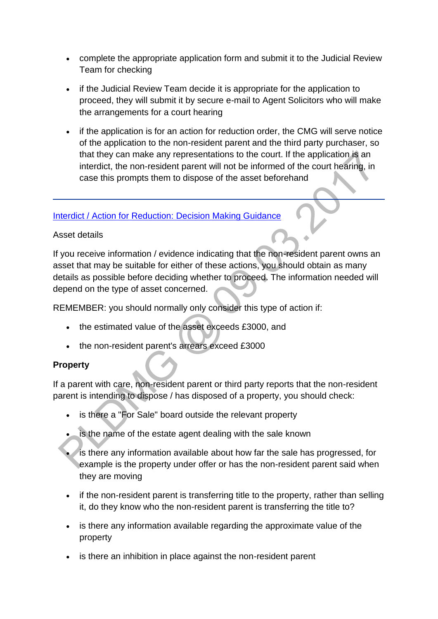- complete the appropriate application form and submit it to the Judicial Review Team for checking
- if the Judicial Review Team decide it is appropriate for the application to proceed, they will submit it by secure e-mail to Agent Solicitors who will make the arrangements for a court hearing
- if the application is for an action for reduction order, the CMG will serve notice of the application to the non-resident parent and the third party purchaser, so that they can make any representations to the court. If the application is an interdict, the non-resident parent will not be informed of the court hearing, in case this prompts them to dispose of the asset beforehand

#### [Interdict / Action for Reduction: Decision Making Guidance](http://np-cmg-sharepoint.link2.gpn.gov.uk/sites/policy-law-and-decision-making-guidance/Pages/Legal%20Enforcement%20-%20Scotland/Order-for-Interdicting--Action-for-Reduction-%28Scotland%29.aspx)

### Asset details

If you receive information / evidence indicating that the non-resident parent owns an asset that may be suitable for either of these actions, you should obtain as many details as possible before deciding whether to proceed. The information needed will depend on the type of asset concerned.

REMEMBER: you should normally only consider this type of action if:

- the estimated value of the asset exceeds £3000, and
- the non-resident parent's arrears exceed £3000

# **Property**

If a parent with care, non-resident parent or third party reports that the non-resident parent is intending to dispose / has disposed of a property, you should check:

- is there a "For Sale" board outside the relevant property
- is the name of the estate agent dealing with the sale known
- is there any information available about how far the sale has progressed, for example is the property under offer or has the non-resident parent said when they are moving
- if the non-resident parent is transferring title to the property, rather than selling it, do they know who the non-resident parent is transferring the title to?
- is there any information available regarding the approximate value of the property
- is there an inhibition in place against the non-resident parent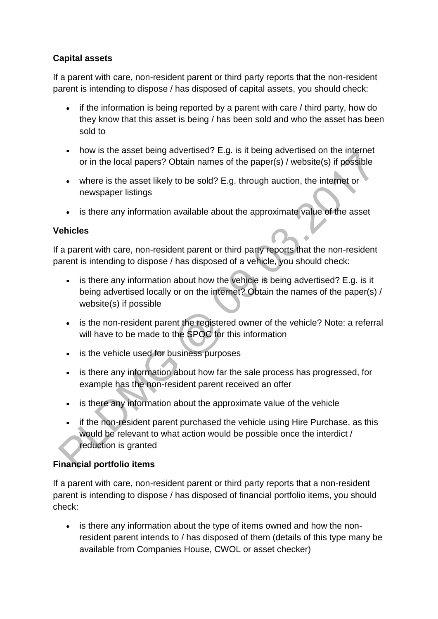## **Capital assets**

If a parent with care, non-resident parent or third party reports that the non-resident parent is intending to dispose / has disposed of capital assets, you should check:

- if the information is being reported by a parent with care / third party, how do they know that this asset is being / has been sold and who the asset has been sold to
- how is the asset being advertised? E.g. is it being advertised on the internet or in the local papers? Obtain names of the paper(s) / website(s) if possible
- where is the asset likely to be sold? E.g. through auction, the internet or newspaper listings
- is there any information available about the approximate value of the asset

### **Vehicles**

If a parent with care, non-resident parent or third party reports that the non-resident parent is intending to dispose / has disposed of a vehicle, you should check:

- is there any information about how the vehicle is being advertised? E.g. is it being advertised locally or on the internet? Obtain the names of the paper(s) / website(s) if possible
- is the non-resident parent the registered owner of the vehicle? Note: a referral will have to be made to the SPOC for this information
- is the vehicle used for business purposes
- is there any information about how far the sale process has progressed, for example has the non-resident parent received an offer
- is there any information about the approximate value of the vehicle
- if the non-resident parent purchased the vehicle using Hire Purchase, as this would be relevant to what action would be possible once the interdict / reduction is granted

# **Financial portfolio items**

If a parent with care, non-resident parent or third party reports that a non-resident parent is intending to dispose / has disposed of financial portfolio items, you should check:

• is there any information about the type of items owned and how the nonresident parent intends to / has disposed of them (details of this type many be available from Companies House, CWOL or asset checker)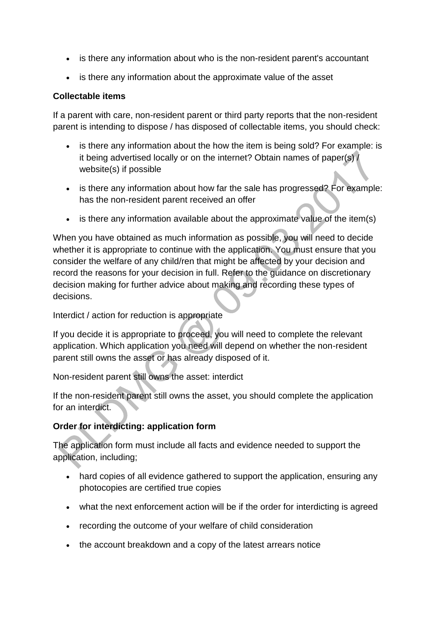- is there any information about who is the non-resident parent's accountant
- is there any information about the approximate value of the asset

#### **Collectable items**

If a parent with care, non-resident parent or third party reports that the non-resident parent is intending to dispose / has disposed of collectable items, you should check:

- is there any information about the how the item is being sold? For example: is it being advertised locally or on the internet? Obtain names of paper(s) / website(s) if possible
- is there any information about how far the sale has progressed? For example: has the non-resident parent received an offer
- $\bullet$  is there any information available about the approximate value of the item(s)

When you have obtained as much information as possible, you will need to decide whether it is appropriate to continue with the application. You must ensure that you consider the welfare of any child/ren that might be affected by your decision and record the reasons for your decision in full. Refer to the guidance on discretionary decision making for further advice about making and recording these types of decisions.

Interdict / action for reduction is appropriate

If you decide it is appropriate to proceed, you will need to complete the relevant application. Which application you need will depend on whether the non-resident parent still owns the asset or has already disposed of it.

Non-resident parent still owns the asset: interdict

If the non-resident parent still owns the asset, you should complete the application for an interdict.

# **Order for interdicting: application form**

The application form must include all facts and evidence needed to support the application, including;

- hard copies of all evidence gathered to support the application, ensuring any photocopies are certified true copies
- what the next enforcement action will be if the order for interdicting is agreed
- recording the outcome of your welfare of child consideration
- the account breakdown and a copy of the latest arrears notice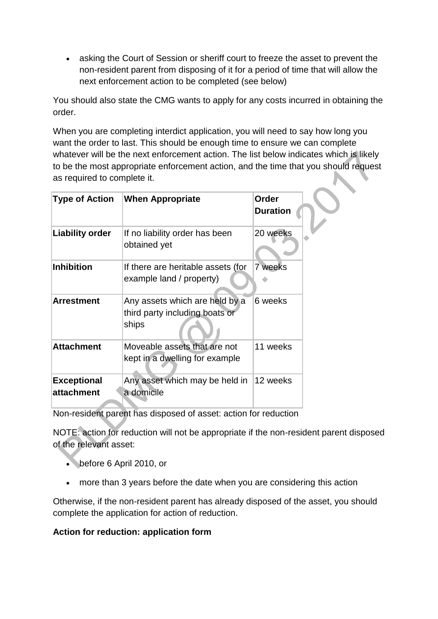asking the Court of Session or sheriff court to freeze the asset to prevent the non-resident parent from disposing of it for a period of time that will allow the next enforcement action to be completed (see below)

You should also state the CMG wants to apply for any costs incurred in obtaining the order.

When you are completing interdict application, you will need to say how long you want the order to last. This should be enough time to ensure we can complete whatever will be the next enforcement action. The list below indicates which is likely to be the most appropriate enforcement action, and the time that you should request as required to complete it.

| <b>Type of Action</b>            | <b>When Appropriate</b>                                                   | Order<br><b>Duration</b> |
|----------------------------------|---------------------------------------------------------------------------|--------------------------|
| Liability order                  | If no liability order has been<br>obtained yet                            | 20 weeks                 |
| <b>Inhibition</b>                | If there are heritable assets (for<br>example land / property)            | 7 weeks                  |
| <b>Arrestment</b>                | Any assets which are held by a<br>third party including boats or<br>ships | 6 weeks                  |
| <b>Attachment</b>                | Moveable assets that are not<br>kept in a dwelling for example            | 11 weeks                 |
| <b>Exceptional</b><br>attachment | Any asset which may be held in<br>a domicile                              | 12 weeks                 |

Non-resident parent has disposed of asset: action for reduction

NOTE: action for reduction will not be appropriate if the non-resident parent disposed of the relevant asset:

- before 6 April 2010, or
- more than 3 years before the date when you are considering this action

Otherwise, if the non-resident parent has already disposed of the asset, you should complete the application for action of reduction.

#### **Action for reduction: application form**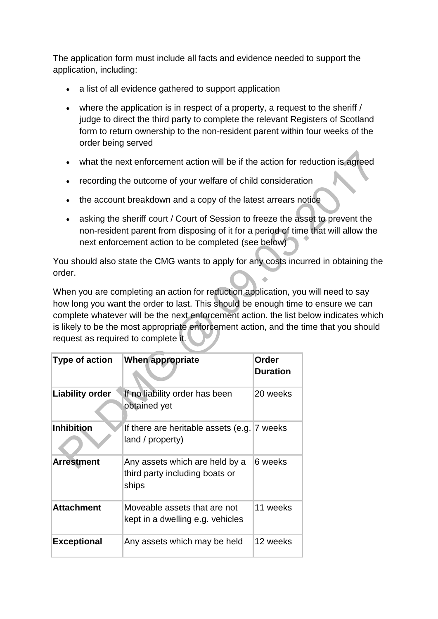The application form must include all facts and evidence needed to support the application, including:

- a list of all evidence gathered to support application
- where the application is in respect of a property, a request to the sheriff / judge to direct the third party to complete the relevant Registers of Scotland form to return ownership to the non-resident parent within four weeks of the order being served
- what the next enforcement action will be if the action for reduction is agreed
- recording the outcome of your welfare of child consideration
- the account breakdown and a copy of the latest arrears notice
- asking the sheriff court / Court of Session to freeze the asset to prevent the non-resident parent from disposing of it for a period of time that will allow the next enforcement action to be completed (see below)

You should also state the CMG wants to apply for any costs incurred in obtaining the order.

When you are completing an action for reduction application, you will need to say how long you want the order to last. This should be enough time to ensure we can complete whatever will be the next enforcement action. the list below indicates which is likely to be the most appropriate enforcement action, and the time that you should request as required to complete it.

| Type of action         | <b>When appropriate</b>                                                   | Order<br><b>Duration</b> |
|------------------------|---------------------------------------------------------------------------|--------------------------|
| <b>Liability order</b> | If no liability order has been<br>obtained yet                            | 20 weeks                 |
| <b>Inhibition</b>      | If there are heritable assets (e.g. 7 weeks<br>land / property)           |                          |
| <b>Arrestment</b>      | Any assets which are held by a<br>third party including boats or<br>ships | 6 weeks                  |
| <b>Attachment</b>      | Moveable assets that are not<br>kept in a dwelling e.g. vehicles          | 11 weeks                 |
| <b>Exceptional</b>     | Any assets which may be held                                              | 12 weeks                 |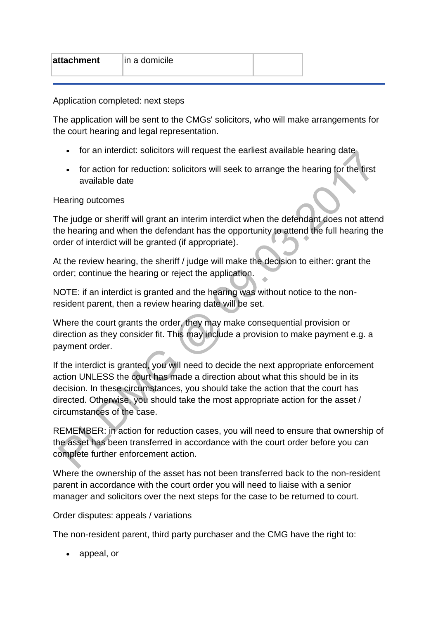| in a domicile<br>attachment |
|-----------------------------|
|-----------------------------|

Application completed: next steps

The application will be sent to the CMGs' solicitors, who will make arrangements for the court hearing and legal representation.

- for an interdict: solicitors will request the earliest available hearing date
- for action for reduction: solicitors will seek to arrange the hearing for the first available date

#### Hearing outcomes

The judge or sheriff will grant an interim interdict when the defendant does not attend the hearing and when the defendant has the opportunity to attend the full hearing the order of interdict will be granted (if appropriate).

At the review hearing, the sheriff / judge will make the decision to either: grant the order; continue the hearing or reject the application.

NOTE: if an interdict is granted and the hearing was without notice to the nonresident parent, then a review hearing date will be set.

Where the court grants the order, they may make consequential provision or direction as they consider fit. This may include a provision to make payment e.g. a payment order.

If the interdict is granted, you will need to decide the next appropriate enforcement action UNLESS the court has made a direction about what this should be in its decision. In these circumstances, you should take the action that the court has directed. Otherwise, you should take the most appropriate action for the asset / circumstances of the case.

REMEMBER: in action for reduction cases, you will need to ensure that ownership of the asset has been transferred in accordance with the court order before you can complete further enforcement action.

Where the ownership of the asset has not been transferred back to the non-resident parent in accordance with the court order you will need to liaise with a senior manager and solicitors over the next steps for the case to be returned to court.

Order disputes: appeals / variations

The non-resident parent, third party purchaser and the CMG have the right to:

appeal, or